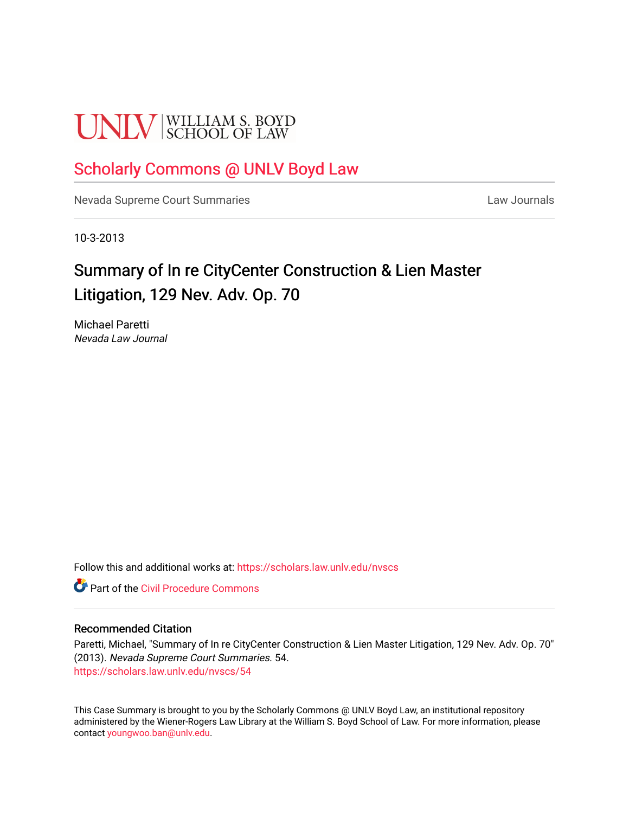# **UNLV** SCHOOL OF LAW

### [Scholarly Commons @ UNLV Boyd Law](https://scholars.law.unlv.edu/)

[Nevada Supreme Court Summaries](https://scholars.law.unlv.edu/nvscs) **Law Journals** Law Journals

10-3-2013

## Summary of In re CityCenter Construction & Lien Master Litigation, 129 Nev. Adv. Op. 70

Michael Paretti Nevada Law Journal

Follow this and additional works at: [https://scholars.law.unlv.edu/nvscs](https://scholars.law.unlv.edu/nvscs?utm_source=scholars.law.unlv.edu%2Fnvscs%2F54&utm_medium=PDF&utm_campaign=PDFCoverPages)

**C** Part of the Civil Procedure Commons

#### Recommended Citation

Paretti, Michael, "Summary of In re CityCenter Construction & Lien Master Litigation, 129 Nev. Adv. Op. 70" (2013). Nevada Supreme Court Summaries. 54. [https://scholars.law.unlv.edu/nvscs/54](https://scholars.law.unlv.edu/nvscs/54?utm_source=scholars.law.unlv.edu%2Fnvscs%2F54&utm_medium=PDF&utm_campaign=PDFCoverPages) 

This Case Summary is brought to you by the Scholarly Commons @ UNLV Boyd Law, an institutional repository administered by the Wiener-Rogers Law Library at the William S. Boyd School of Law. For more information, please contact [youngwoo.ban@unlv.edu](mailto:youngwoo.ban@unlv.edu).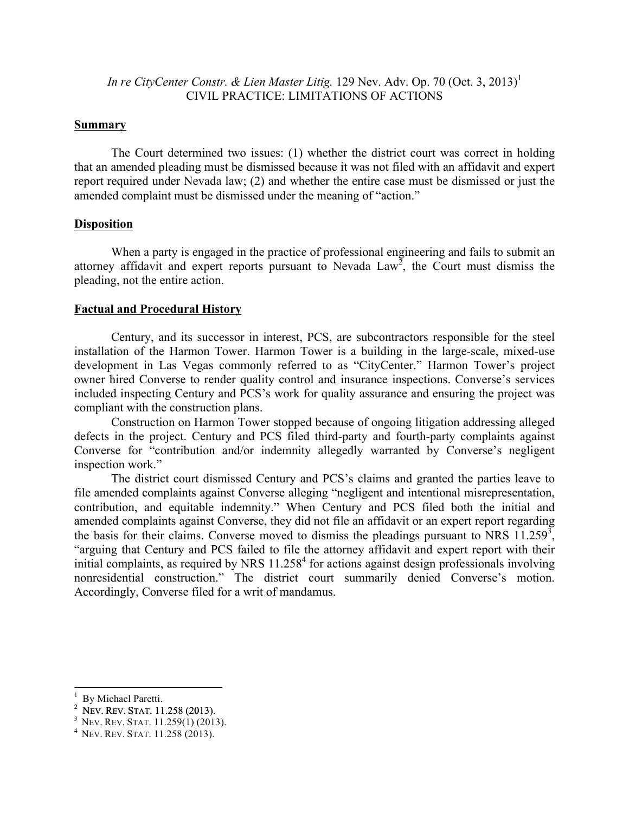#### *In re CityCenter Constr. & Lien Master Litig.* 129 Nev. Adv. Op. 70 (Oct. 3, 2013)<sup>1</sup> CIVIL PRACTICE: LIMITATIONS OF ACTIONS

#### **Summary**

The Court determined two issues: (1) whether the district court was correct in holding that an amended pleading must be dismissed because it was not filed with an affidavit and expert report required under Nevada law; (2) and whether the entire case must be dismissed or just the amended complaint must be dismissed under the meaning of "action."

#### **Disposition**

When a party is engaged in the practice of professional engineering and fails to submit an attorney affidavit and expert reports pursuant to Nevada  $Law<sup>2</sup>$ , the Court must dismiss the pleading, not the entire action.

#### **Factual and Procedural History**

Century, and its successor in interest, PCS, are subcontractors responsible for the steel installation of the Harmon Tower. Harmon Tower is a building in the large-scale, mixed-use development in Las Vegas commonly referred to as "CityCenter." Harmon Tower's project owner hired Converse to render quality control and insurance inspections. Converse's services included inspecting Century and PCS's work for quality assurance and ensuring the project was compliant with the construction plans.

Construction on Harmon Tower stopped because of ongoing litigation addressing alleged defects in the project. Century and PCS filed third-party and fourth-party complaints against Converse for "contribution and/or indemnity allegedly warranted by Converse's negligent inspection work."

The district court dismissed Century and PCS's claims and granted the parties leave to file amended complaints against Converse alleging "negligent and intentional misrepresentation, contribution, and equitable indemnity." When Century and PCS filed both the initial and amended complaints against Converse, they did not file an affidavit or an expert report regarding the basis for their claims. Converse moved to dismiss the pleadings pursuant to NRS  $11.259^3$ , "arguing that Century and PCS failed to file the attorney affidavit and expert report with their initial complaints, as required by NRS  $11.258<sup>4</sup>$  for actions against design professionals involving nonresidential construction." The district court summarily denied Converse's motion. Accordingly, Converse filed for a writ of mandamus.

By Michael Paretti.  $\frac{1}{2}$  By Michael Paretti.

 $\frac{2}{3}$  Nev. Rev. Stat. 11.258 (2013).

<sup>&</sup>lt;sup>3</sup> Nev. Rev. Stat. 11.259(1) (2013).

 $4$  Nev. Rev. STAT. 11.258 (2013).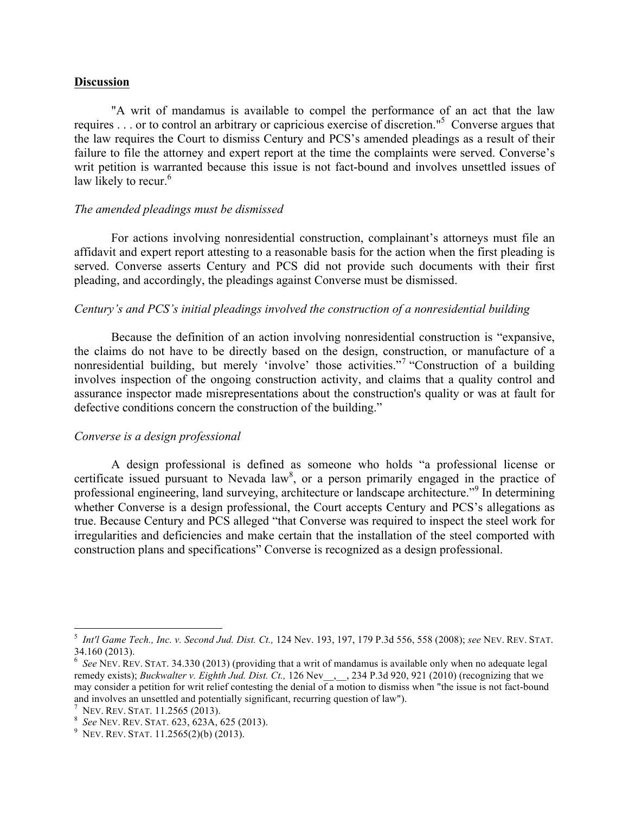#### **Discussion**

"A writ of mandamus is available to compel the performance of an act that the law requires . . . or to control an arbitrary or capricious exercise of discretion."<sup>5</sup> Converse argues that the law requires the Court to dismiss Century and PCS's amended pleadings as a result of their failure to file the attorney and expert report at the time the complaints were served. Converse's writ petition is warranted because this issue is not fact-bound and involves unsettled issues of law likely to recur.<sup>6</sup>

#### *The amended pleadings must be dismissed*

For actions involving nonresidential construction, complainant's attorneys must file an affidavit and expert report attesting to a reasonable basis for the action when the first pleading is served. Converse asserts Century and PCS did not provide such documents with their first pleading, and accordingly, the pleadings against Converse must be dismissed.

#### *Century's and PCS's initial pleadings involved the construction of a nonresidential building*

Because the definition of an action involving nonresidential construction is "expansive, the claims do not have to be directly based on the design, construction, or manufacture of a nonresidential building, but merely 'involve' those activities."<sup>7</sup> "Construction of a building involves inspection of the ongoing construction activity, and claims that a quality control and assurance inspector made misrepresentations about the construction's quality or was at fault for defective conditions concern the construction of the building."

#### *Converse is a design professional*

A design professional is defined as someone who holds "a professional license or certificate issued pursuant to Nevada law<sup>8</sup>, or a person primarily engaged in the practice of professional engineering, land surveying, architecture or landscape architecture."<sup>9</sup> In determining whether Converse is a design professional, the Court accepts Century and PCS's allegations as true. Because Century and PCS alleged "that Converse was required to inspect the steel work for irregularities and deficiencies and make certain that the installation of the steel comported with construction plans and specifications" Converse is recognized as a design professional.

 <sup>5</sup> *Int'l Game Tech., Inc. v. Second Jud. Dist. Ct.,* 124 Nev. 193, 197, 179 P.3d 556, 558 (2008); *see* NEV. REV. STAT. 34.160 (2013). <sup>6</sup>

*See* NEV. REV. STAT. 34.330 (2013) (providing that a writ of mandamus is available only when no adequate legal remedy exists); *Buckwalter v. Eighth Jud. Dist. Ct.,* 126 Nev\_\_,\_\_, 234 P.3d 920, 921 (2010) (recognizing that we may consider a petition for writ relief contesting the denial of a motion to dismiss when "the issue is not fact-bound and involves an unsettled and potentially significant, recurring question of law").

 $\frac{7}{1}$  Nev. Rev. Stat. 11.2565 (2013).

*See* NEV. REV. STAT. 623, 623A, 625 (2013). <sup>9</sup>

 $9$  Nev. Rev. STAT. 11.2565(2)(b) (2013).